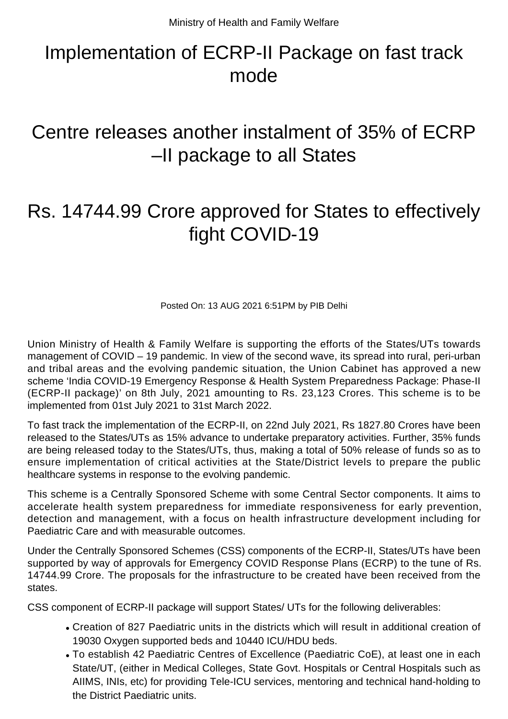## Implementation of ECRP-II Package on fast track mode

## Centre releases another instalment of 35% of ECRP –II package to all States

## Rs. 14744.99 Crore approved for States to effectively fight COVID-19

Posted On: 13 AUG 2021 6:51PM by PIB Delhi

Union Ministry of Health & Family Welfare is supporting the efforts of the States/UTs towards management of COVID – 19 pandemic. In view of the second wave, its spread into rural, peri-urban and tribal areas and the evolving pandemic situation, the Union Cabinet has approved a new scheme 'India COVID-19 Emergency Response & Health System Preparedness Package: Phase-II (ECRP-II package)' on 8th July, 2021 amounting to Rs. 23,123 Crores. This scheme is to be implemented from 01st July 2021 to 31st March 2022.

To fast track the implementation of the ECRP-II, on 22nd July 2021, Rs 1827.80 Crores have been released to the States/UTs as 15% advance to undertake preparatory activities. Further, 35% funds are being released today to the States/UTs, thus, making a total of 50% release of funds so as to ensure implementation of critical activities at the State/District levels to prepare the public healthcare systems in response to the evolving pandemic.

This scheme is a Centrally Sponsored Scheme with some Central Sector components. It aims to accelerate health system preparedness for immediate responsiveness for early prevention, detection and management, with a focus on health infrastructure development including for Paediatric Care and with measurable outcomes.

Under the Centrally Sponsored Schemes (CSS) components of the ECRP-II, States/UTs have been supported by way of approvals for Emergency COVID Response Plans (ECRP) to the tune of Rs. 14744.99 Crore. The proposals for the infrastructure to be created have been received from the states.

CSS component of ECRP-II package will support States/ UTs for the following deliverables:

- Creation of 827 Paediatric units in the districts which will result in additional creation of 19030 Oxygen supported beds and 10440 ICU/HDU beds.
- To establish 42 Paediatric Centres of Excellence (Paediatric CoE), at least one in each State/UT, (either in Medical Colleges, State Govt. Hospitals or Central Hospitals such as AIIMS, INIs, etc) for providing Tele-ICU services, mentoring and technical hand-holding to the District Paediatric units.